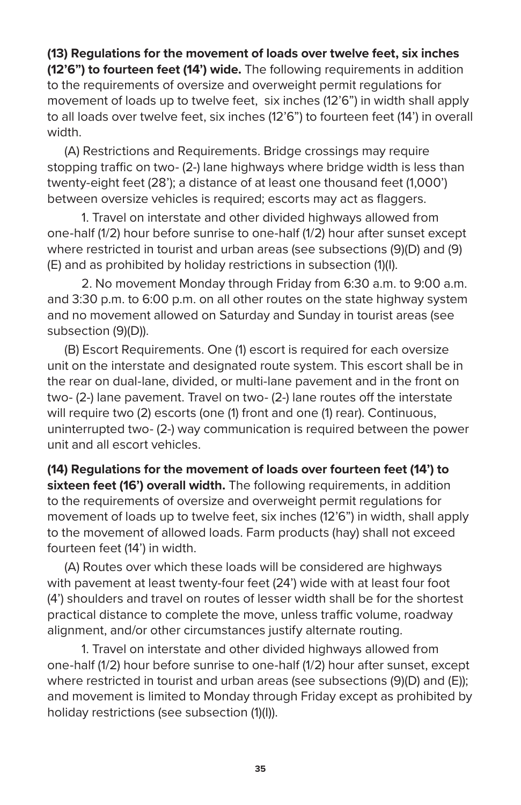**(13) Regulations for the movement of loads over twelve feet, six inches (12'6") to fourteen feet (14') wide.** The following requirements in addition to the requirements of oversize and overweight permit regulations for movement of loads up to twelve feet, six inches (12'6") in width shall apply to all loads over twelve feet, six inches (12'6") to fourteen feet (14') in overall width.

(A) Restrictions and Requirements. Bridge crossings may require stopping traffic on two- (2-) lane highways where bridge width is less than twenty-eight feet (28'); a distance of at least one thousand feet (1,000') between oversize vehicles is required; escorts may act as flaggers.

1. Travel on interstate and other divided highways allowed from one-half (1/2) hour before sunrise to one-half (1/2) hour after sunset except where restricted in tourist and urban areas (see subsections (9)(D) and (9) (E) and as prohibited by holiday restrictions in subsection (1)(I).

2. No movement Monday through Friday from 6:30 a.m. to 9:00 a.m. and 3:30 p.m. to 6:00 p.m. on all other routes on the state highway system and no movement allowed on Saturday and Sunday in tourist areas (see subsection (9)(D)).

(B) Escort Requirements. One (1) escort is required for each oversize unit on the interstate and designated route system. This escort shall be in the rear on dual-lane, divided, or multi-lane pavement and in the front on two- (2-) lane pavement. Travel on two- (2-) lane routes off the interstate will require two (2) escorts (one (1) front and one (1) rear). Continuous, uninterrupted two- (2-) way communication is required between the power unit and all escort vehicles.

**(14) Regulations for the movement of loads over fourteen feet (14') to sixteen feet (16') overall width.** The following requirements, in addition to the requirements of oversize and overweight permit regulations for movement of loads up to twelve feet, six inches (12'6") in width, shall apply to the movement of allowed loads. Farm products (hay) shall not exceed fourteen feet (14') in width.

(A) Routes over which these loads will be considered are highways with pavement at least twenty-four feet (24') wide with at least four foot (4') shoulders and travel on routes of lesser width shall be for the shortest practical distance to complete the move, unless traffic volume, roadway alignment, and/or other circumstances justify alternate routing.

1. Travel on interstate and other divided highways allowed from one-half (1/2) hour before sunrise to one-half (1/2) hour after sunset, except where restricted in tourist and urban areas (see subsections (9)(D) and (E)); and movement is limited to Monday through Friday except as prohibited by holiday restrictions (see subsection (1)(I)).